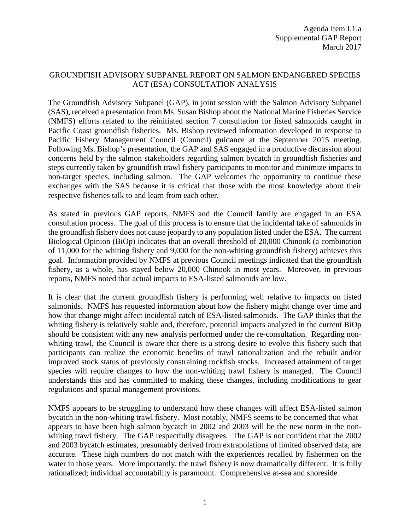## GROUNDFISH ADVISORY SUBPANEL REPORT ON SALMON ENDANGERED SPECIES ACT (ESA) CONSULTATION ANALYSIS

The Groundfish Advisory Subpanel (GAP), in joint session with the Salmon Advisory Subpanel (SAS), received a presentation from Ms. Susan Bishop about the National Marine Fisheries Service (NMFS) efforts related to the reinitiated section 7 consultation for listed salmonids caught in Pacific Coast groundfish fisheries. Ms. Bishop reviewed information developed in response to Pacific Fishery Management Council (Council) guidance at the September 2015 meeting. Following Ms. Bishop's presentation, the GAP and SAS engaged in a productive discussion about concerns held by the salmon stakeholders regarding salmon bycatch in groundfish fisheries and steps currently taken by groundfish trawl fishery participants to monitor and minimize impacts to non-target species, including salmon. The GAP welcomes the opportunity to continue these exchanges with the SAS because it is critical that those with the most knowledge about their respective fisheries talk to and learn from each other.

As stated in previous GAP reports, NMFS and the Council family are engaged in an ESA consultation process. The goal of this process is to ensure that the incidental take of salmonids in the groundfish fishery does not cause jeopardy to any population listed under the ESA. The current Biological Opinion (BiOp) indicates that an overall threshold of 20,000 Chinook (a combination of 11,000 for the whiting fishery and 9,000 for the non-whiting groundfish fishery) achieves this goal. Information provided by NMFS at previous Council meetings indicated that the groundfish fishery, as a whole, has stayed below 20,000 Chinook in most years. Moreover, in previous reports, NMFS noted that actual impacts to ESA-listed salmonids are low.

It is clear that the current groundfish fishery is performing well relative to impacts on listed salmonids. NMFS has requested information about how the fishery might change over time and how that change might affect incidental catch of ESA-listed salmonids. The GAP thinks that the whiting fishery is relatively stable and, therefore, potential impacts analyzed in the current BiOp should be consistent with any new analysis performed under the re-consultation. Regarding nonwhiting trawl, the Council is aware that there is a strong desire to evolve this fishery such that participants can realize the economic benefits of trawl rationalization and the rebuilt and/or improved stock status of previously constraining rockfish stocks. Increased attainment of target species will require changes to how the non-whiting trawl fishery is managed. The Council understands this and has committed to making these changes, including modifications to gear regulations and spatial management provisions.

NMFS appears to be struggling to understand how these changes will affect ESA-listed salmon bycatch in the non-whiting trawl fishery. Most notably, NMFS seems to be concerned that what appears to have been high salmon bycatch in 2002 and 2003 will be the new norm in the nonwhiting trawl fishery. The GAP respectfully disagrees. The GAP is not confident that the 2002 and 2003 bycatch estimates, presumably derived from extrapolations of limited observed data, are accurate. These high numbers do not match with the experiences recalled by fishermen on the water in those years. More importantly, the trawl fishery is now dramatically different. It is fully rationalized; individual accountability is paramount. Comprehensive at-sea and shoreside